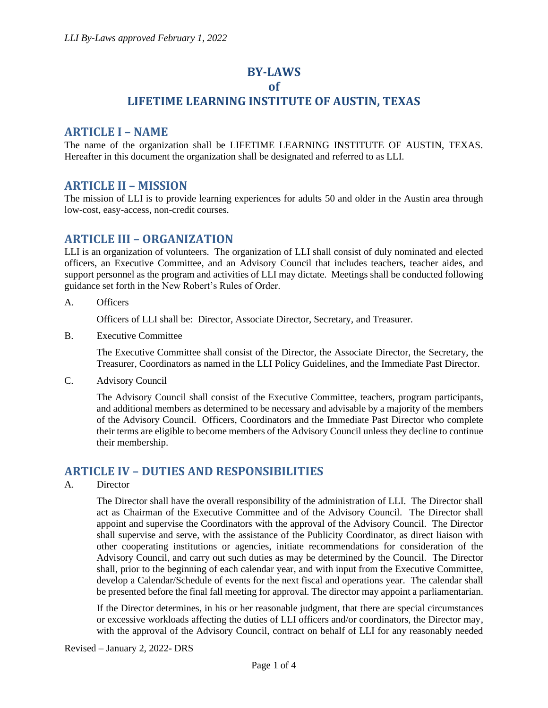# **BY-LAWS**

### **of**

## **LIFETIME LEARNING INSTITUTE OF AUSTIN, TEXAS**

### **ARTICLE I – NAME**

The name of the organization shall be LIFETIME LEARNING INSTITUTE OF AUSTIN, TEXAS. Hereafter in this document the organization shall be designated and referred to as LLI.

## **ARTICLE II – MISSION**

The mission of LLI is to provide learning experiences for adults 50 and older in the Austin area through low-cost, easy-access, non-credit courses.

## **ARTICLE III – ORGANIZATION**

LLI is an organization of volunteers. The organization of LLI shall consist of duly nominated and elected officers, an Executive Committee, and an Advisory Council that includes teachers, teacher aides, and support personnel as the program and activities of LLI may dictate. Meetings shall be conducted following guidance set forth in the New Robert's Rules of Order.

A. Officers

Officers of LLI shall be: Director, Associate Director, Secretary, and Treasurer.

B. Executive Committee

The Executive Committee shall consist of the Director, the Associate Director, the Secretary, the Treasurer, Coordinators as named in the LLI Policy Guidelines, and the Immediate Past Director.

C. Advisory Council

The Advisory Council shall consist of the Executive Committee, teachers, program participants, and additional members as determined to be necessary and advisable by a majority of the members of the Advisory Council. Officers, Coordinators and the Immediate Past Director who complete their terms are eligible to become members of the Advisory Council unless they decline to continue their membership.

### **ARTICLE IV – DUTIES AND RESPONSIBILITIES**

#### A. Director

The Director shall have the overall responsibility of the administration of LLI. The Director shall act as Chairman of the Executive Committee and of the Advisory Council. The Director shall appoint and supervise the Coordinators with the approval of the Advisory Council. The Director shall supervise and serve, with the assistance of the Publicity Coordinator*,* as direct liaison with other cooperating institutions or agencies, initiate recommendations for consideration of the Advisory Council, and carry out such duties as may be determined by the Council. The Director shall, prior to the beginning of each calendar year, and with input from the Executive Committee, develop a Calendar/Schedule of events for the next fiscal and operations year. The calendar shall be presented before the final fall meeting for approval*.* The director may appoint a parliamentarian.

If the Director determines, in his or her reasonable judgment, that there are special circumstances or excessive workloads affecting the duties of LLI officers and/or coordinators, the Director may, with the approval of the Advisory Council, contract on behalf of LLI for any reasonably needed

Revised – January 2, 2022- DRS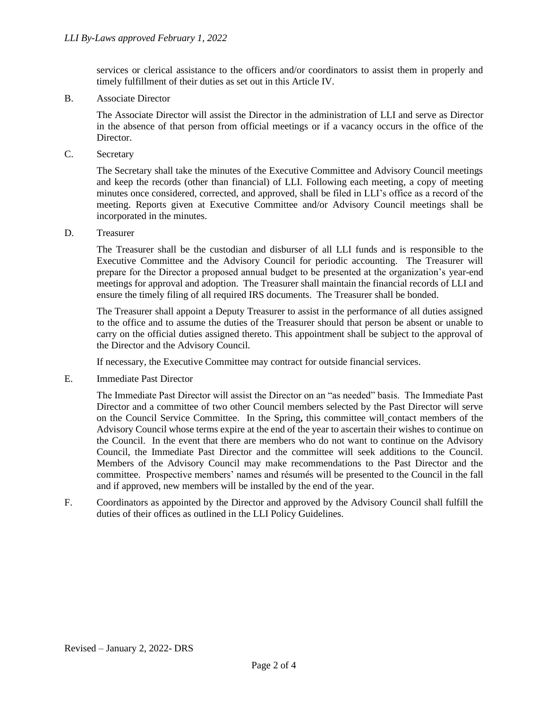services or clerical assistance to the officers and/or coordinators to assist them in properly and timely fulfillment of their duties as set out in this Article IV.

B. Associate Director

The Associate Director will assist the Director in the administration of LLI and serve as Director in the absence of that person from official meetings or if a vacancy occurs in the office of the Director.

C. Secretary

The Secretary shall take the minutes of the Executive Committee and Advisory Council meetings and keep the records (other than financial) of LLI. Following each meeting, a copy of meeting minutes once considered, corrected, and approved, shall be filed in LLI's office as a record of the meeting. Reports given at Executive Committee and/or Advisory Council meetings shall be incorporated in the minutes.

D. Treasurer

The Treasurer shall be the custodian and disburser of all LLI funds and is responsible to the Executive Committee and the Advisory Council for periodic accounting. The Treasurer will prepare for the Director a proposed annual budget to be presented at the organization's year-end meetings for approval and adoption. The Treasurer shall maintain the financial records of LLI and ensure the timely filing of all required IRS documents. The Treasurer shall be bonded.

The Treasurer shall appoint a Deputy Treasurer to assist in the performance of all duties assigned to the office and to assume the duties of the Treasurer should that person be absent or unable to carry on the official duties assigned thereto. This appointment shall be subject to the approval of the Director and the Advisory Council.

If necessary*,* the Executive Committee may contract for outside financial services.

E. Immediate Past Director

The Immediate Past Director will assist the Director on an "as needed" basis. The Immediate Past Director and a committee of two other Council members selected by the Past Director will serve on the Council Service Committee. In the Spring**,** this committee will contact members of the Advisory Council whose terms expire at the end of the year to ascertain their wishes to continue on the Council. In the event that there are members who do not want to continue on the Advisory Council, the Immediate Past Director and the committee will seek additions to the Council. Members of the Advisory Council may make recommendations to the Past Director and the committee. Prospective members' names and résumés will be presented to the Council in the fall and if approved, new members will be installed by the end of the year.

F. Coordinators as appointed by the Director and approved by the Advisory Council shall fulfill the duties of their offices as outlined in the LLI Policy Guidelines.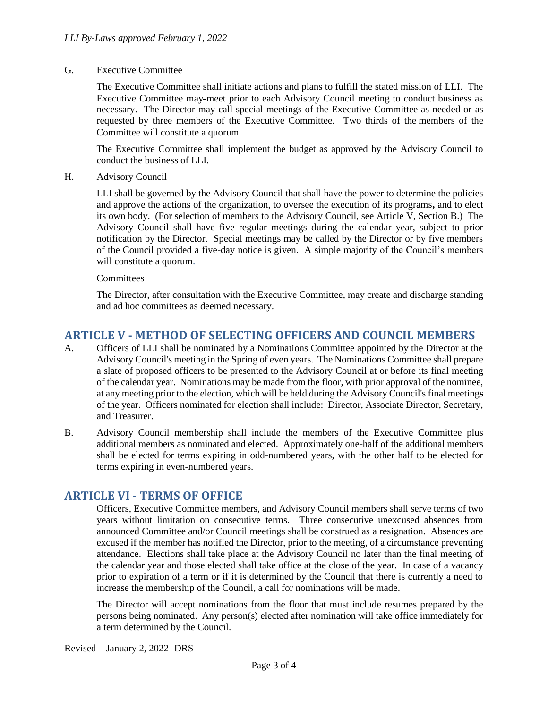#### G. Executive Committee

The Executive Committee shall initiate actions and plans to fulfill the stated mission of LLI. The Executive Committee may meet prior to each Advisory Council meeting to conduct business as necessary. The Director may call special meetings of the Executive Committee as needed or as requested by three members of the Executive Committee. Two thirds of the members of the Committee will constitute a quorum.

The Executive Committee shall implement the budget as approved by the Advisory Council to conduct the business of LLI.

H. Advisory Council

LLI shall be governed by the Advisory Council that shall have the power to determine the policies and approve the actions of the organization, to oversee the execution of its programs**,** and to elect its own body. (For selection of members to the Advisory Council, see Article V, Section B.) The Advisory Council shall have five regular meetings during the calendar year, subject to prior notification by the Director. Special meetings may be called by the Director or by five members of the Council provided a five-day notice is given. A simple majority of the Council's members will constitute a quorum.

**Committees** 

The Director, after consultation with the Executive Committee, may create and discharge standing and ad hoc committees as deemed necessary.

## **ARTICLE V - METHOD OF SELECTING OFFICERS AND COUNCIL MEMBERS**

- A. Officers of LLI shall be nominated by a Nominations Committee appointed by the Director at the Advisory Council's meeting in the Spring of even years. The Nominations Committee shall prepare a slate of proposed officers to be presented to the Advisory Council at or before its final meeting of the calendar year. Nominations may be made from the floor, with prior approval of the nominee, at any meeting prior to the election, which will be held during the Advisory Council's final meetings of the year. Officers nominated for election shall include: Director, Associate Director, Secretary, and Treasurer.
- B. Advisory Council membership shall include the members of the Executive Committee plus additional members as nominated and elected. Approximately one-half of the additional members shall be elected for terms expiring in odd-numbered years, with the other half to be elected for terms expiring in even-numbered years.

### **ARTICLE VI - TERMS OF OFFICE**

Officers, Executive Committee members, and Advisory Council members shall serve terms of two years without limitation on consecutive terms. Three consecutive unexcused absences from announced Committee and/or Council meetings shall be construed as a resignation. Absences are excused if the member has notified the Director, prior to the meeting, of a circumstance preventing attendance. Elections shall take place at the Advisory Council no later than the final meeting of the calendar year and those elected shall take office at the close of the year*.* In case of a vacancy prior to expiration of a term or if it is determined by the Council that there is currently a need to increase the membership of the Council, a call for nominations will be made.

The Director will accept nominations from the floor that must include resumes prepared by the persons being nominated. Any person(s) elected after nomination will take office immediately for a term determined by the Council.